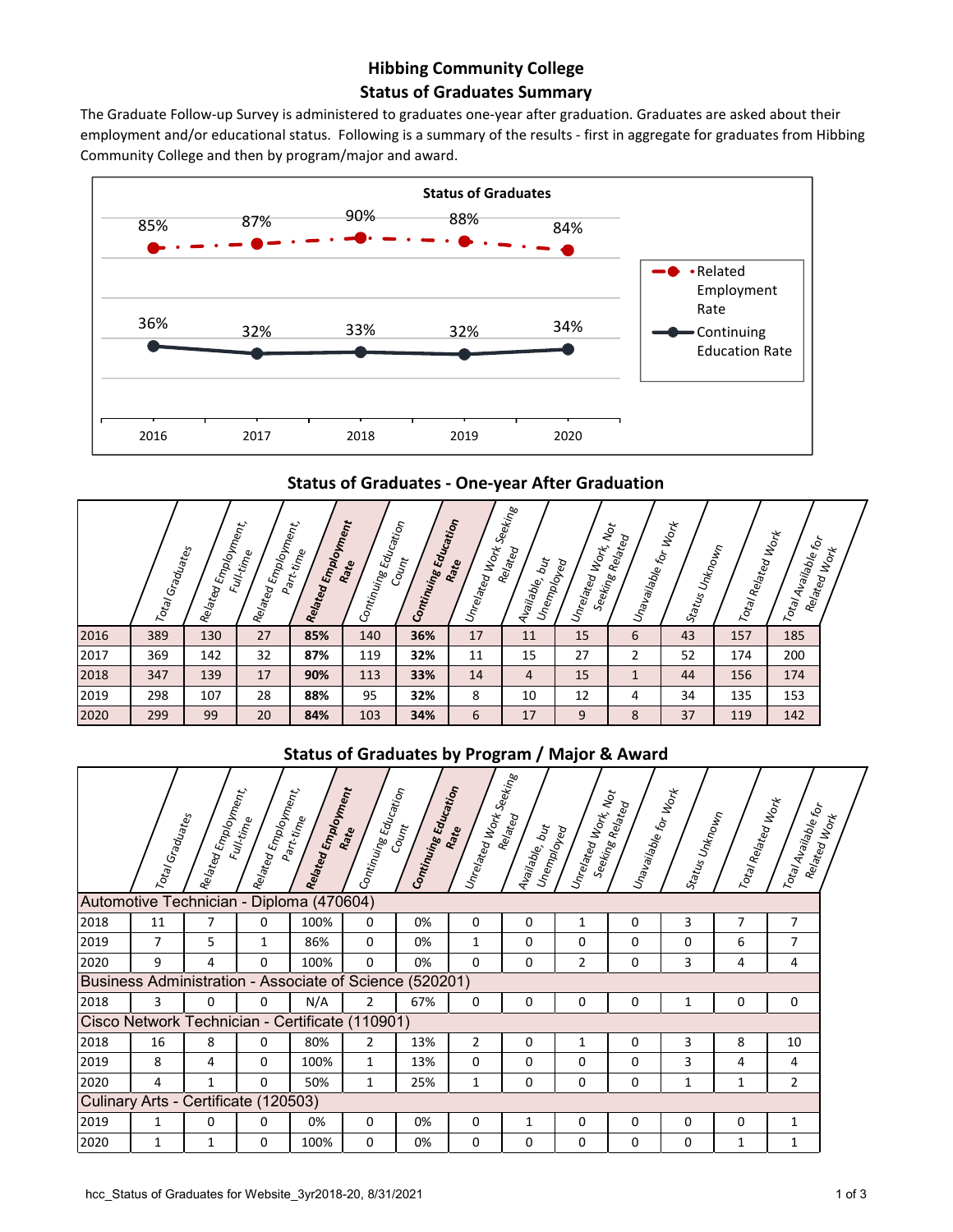## **Status of Graduates Summary Hibbing Community College**

The Graduate Follow-up Survey is administered to graduates one-year after graduation. Graduates are asked about their employment and/or educational status. Following is a summary of the results ‐ first in aggregate for graduates from Hibbing Community College and then by program/major and award.



**Status of Graduates ‐ One‐year After Graduation**

|      | Total Graduates | Related Employment<br>Ment | Related Employment<br>Ment<br>Full-time | Related Employment<br>Part-time | Education<br>Rate<br>Continuing I | Continuing Education<br>$c_{o_{\mathcal{U}_{\eta_t}}}$ | Unrelated Works<br>Rate | Seeking<br>Related<br>$b_{ij}$<br>Unemployed<br>Available, | $  \omega_{n}$ elated Mork, Not | $ v_{n\mathsf{a}_{\mathsf{V}\mathsf{a}_{\mathsf{H}}\mathsf{b}_{\mathsf{J}}\mathsf{b}_{\mathsf{J}}\mathsf{c}_{\mathsf{f}_{\mathsf{G}_{\mathsf{J}}}}}}_{\mathsf{f}_{\mathsf{G}_{\mathsf{F}}}} _{\mathsf{f}_{\mathsf{G}_{\mathsf{F}_{\mathsf{K}}}}}$<br>Seeking<br>Related | Status Unknown | Total Related Work | Total Available for<br> | Related Work |
|------|-----------------|----------------------------|-----------------------------------------|---------------------------------|-----------------------------------|--------------------------------------------------------|-------------------------|------------------------------------------------------------|---------------------------------|-------------------------------------------------------------------------------------------------------------------------------------------------------------------------------------------------------------------------------------------------------------------------|----------------|--------------------|-------------------------|--------------|
| 2016 | 389             | 130                        | 27                                      | 85%                             | 140                               | 36%                                                    | 17                      | 11                                                         | 15                              | 6                                                                                                                                                                                                                                                                       | 43             | 157                | 185                     |              |
| 2017 | 369             | 142                        | 32                                      | 87%                             | 119                               | 32%                                                    | 11                      | 15                                                         | 27                              | $\overline{2}$                                                                                                                                                                                                                                                          | 52             | 174                | 200                     |              |
| 2018 | 347             | 139                        | 17                                      | 90%                             | 113                               | 33%                                                    | 14                      | $\overline{4}$                                             | 15                              | $\mathbf{1}$                                                                                                                                                                                                                                                            | 44             | 156                | 174                     |              |
| 2019 | 298             | 107                        | 28                                      | 88%                             | 95                                | 32%                                                    | 8                       | 10                                                         | 12                              | 4                                                                                                                                                                                                                                                                       | 34             | 135                | 153                     |              |
| 2020 | 299             | 99                         | 20                                      | 84%                             | 103                               | 34%                                                    | 6                       | 17                                                         | 9                               | 8                                                                                                                                                                                                                                                                       | 37             | 119                | 142                     |              |

## **Status of Graduates by Program / Major & Award**

|      | Total Graduates                      | Related Employment.<br>References | Related Employment.<br>References<br>Full-time | Related Employment<br>Part-time                         | $\vert c_{\textit{Ort} in_{\mathcal{U}ing\, \mathcal{E}_{\mathcal{G}_{\mathcal{U}_{G\!H\!f}_{\mathcal{O}_{\mathcal{T}}}}}}$ | Continuing Education<br>Count | $ v_{\eta}{}_{eq}{}_{W_{O\eta}{}_{\xi\otimes\varrho_{\ell}}{}_{\eta_{\mathcal{B}}}$<br>Rate | Related<br>Available, but<br>Unemployed | $ v_{n\epsilon}$ lated Work, Not | $  \nu_{n}$ available for Work $\epsilon_{\alpha}$<br>Seeking Related | $\left s_{t_2 t_{U_S}}\right _{\nu_{h\wedge\sigma_{\mathcal{U}_{h\gamma}}}}$ | Total Related Work | Total Available for | Related Work |
|------|--------------------------------------|-----------------------------------|------------------------------------------------|---------------------------------------------------------|-----------------------------------------------------------------------------------------------------------------------------|-------------------------------|---------------------------------------------------------------------------------------------|-----------------------------------------|----------------------------------|-----------------------------------------------------------------------|------------------------------------------------------------------------------|--------------------|---------------------|--------------|
|      |                                      |                                   |                                                | Automotive Technician - Diploma (470604)                |                                                                                                                             |                               |                                                                                             |                                         |                                  |                                                                       |                                                                              |                    |                     |              |
| 2018 | 11                                   | 7                                 | 0                                              | 100%                                                    | 0                                                                                                                           | 0%                            | 0                                                                                           | 0                                       | 1                                | 0                                                                     | 3                                                                            | 7                  | 7                   |              |
| 2019 | 7                                    | 5                                 | 1                                              | 86%                                                     | 0                                                                                                                           | 0%                            | 1                                                                                           | 0                                       | 0                                | $\Omega$                                                              | 0                                                                            | 6                  | 7                   |              |
| 2020 | 9                                    | 4                                 | 0                                              | 100%                                                    | 0                                                                                                                           | 0%                            | 0                                                                                           | $\Omega$                                | 2                                | 0                                                                     | 3                                                                            | 4                  | 4                   |              |
|      |                                      |                                   |                                                | Business Administration - Associate of Science (520201) |                                                                                                                             |                               |                                                                                             |                                         |                                  |                                                                       |                                                                              |                    |                     |              |
| 2018 | 3                                    | 0                                 | 0                                              | N/A                                                     | 2                                                                                                                           | 67%                           | 0                                                                                           | 0                                       | 0                                | 0                                                                     | 1                                                                            | 0                  | 0                   |              |
|      |                                      |                                   |                                                | Cisco Network Technician - Certificate (110901)         |                                                                                                                             |                               |                                                                                             |                                         |                                  |                                                                       |                                                                              |                    |                     |              |
| 2018 | 16                                   | 8                                 | 0                                              | 80%                                                     | $\overline{2}$                                                                                                              | 13%                           | 2                                                                                           | 0                                       | 1                                | 0                                                                     | 3                                                                            | 8                  | 10                  |              |
| 2019 | 8                                    | 4                                 | 0                                              | 100%                                                    | 1                                                                                                                           | 13%                           | 0                                                                                           | 0                                       | 0                                | 0                                                                     | 3                                                                            | 4                  | 4                   |              |
| 2020 | 4                                    | 1                                 | 0                                              | 50%                                                     | 1                                                                                                                           | 25%                           | 1                                                                                           | $\Omega$                                | 0                                | $\Omega$                                                              | 1                                                                            | 1                  | 2                   |              |
|      | Culinary Arts - Certificate (120503) |                                   |                                                |                                                         |                                                                                                                             |                               |                                                                                             |                                         |                                  |                                                                       |                                                                              |                    |                     |              |
| 2019 | 1                                    | 0                                 | 0                                              | 0%                                                      | $\Omega$                                                                                                                    | 0%                            | 0                                                                                           | 1                                       | 0                                | 0                                                                     | $\Omega$                                                                     | $\Omega$           | 1                   |              |
| 2020 | 1                                    | 1                                 | 0                                              | 100%                                                    | $\Omega$                                                                                                                    | 0%                            | 0                                                                                           | 0                                       | 0                                | 0                                                                     | $\Omega$                                                                     | 1                  | 1                   |              |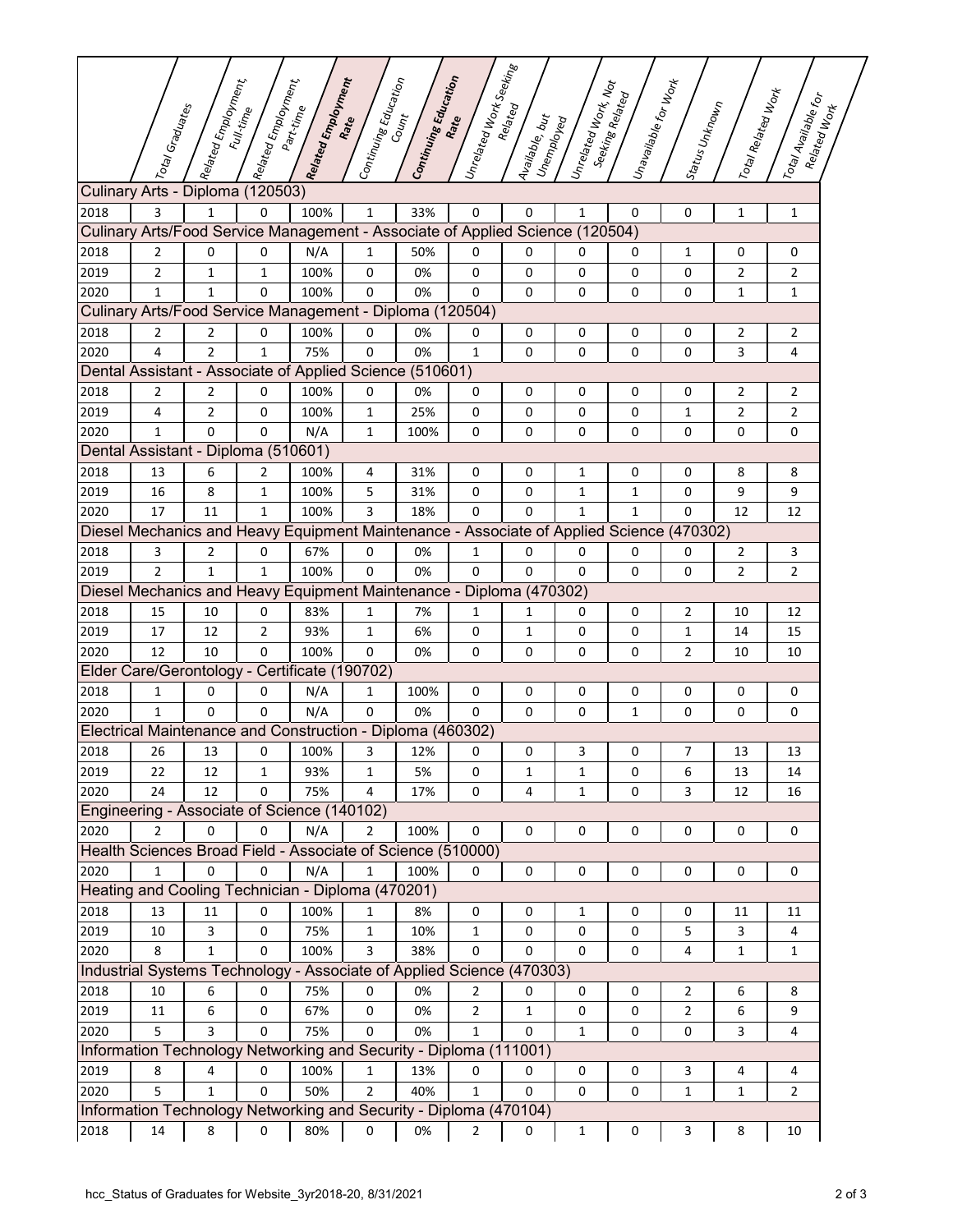|                                                          |                                                                                          | $\vert$ Related Employment, | $\left $ Related Employment,<br>Full-time | Related Employment<br>Part-time | $\left c_{\textit{onifin}_\textit{fig}}\right _{\textit{Eq}_{\textit{U}_{\textit{GR}_{\textit{f}_{\textit{G}}}}}}$ | Continuing Education<br>$c_{o_{\mathcal{U}_{\eta_t}}}$ | $\left  \nu_{\eta_{\varepsilon}} \right _{\theta_{\varepsilon}}$<br>Rate |                                | $\left  \iota_{n_{e_{i}}}_{e_{i}e_{i}}\right  _{\nu_{o_{r_{k}}}}$ in $\iota_{o_{t}}$ | $ v_{n a_{\mathcal{V}\! q}}_{\mathcal{U}\! a_{\mathcal{U}\! \mathcal{B}}\mathcal{U}\! e_{\mathcal{H}}}$ for $w_{o_{\mathcal{H}_{k}}}$<br>Seeking Related |                | $\left\vert \frac{r_{oi}}{r_{\alpha}}\right\rangle _{Ref_{i}}$ | $\left\vert \frac{\overline{h}_{O}}{h_{B}}\right\rangle _{O/\psi_{B}}$<br>Related Work |
|----------------------------------------------------------|------------------------------------------------------------------------------------------|-----------------------------|-------------------------------------------|---------------------------------|--------------------------------------------------------------------------------------------------------------------|--------------------------------------------------------|--------------------------------------------------------------------------|--------------------------------|--------------------------------------------------------------------------------------|----------------------------------------------------------------------------------------------------------------------------------------------------------|----------------|----------------------------------------------------------------|----------------------------------------------------------------------------------------|
|                                                          | Total Graduates                                                                          |                             |                                           |                                 |                                                                                                                    |                                                        |                                                                          | Available, but<br>I Unemployed |                                                                                      |                                                                                                                                                          | Status Unknown |                                                                |                                                                                        |
|                                                          | Culinary Arts - Diploma (120503)                                                         |                             |                                           |                                 |                                                                                                                    |                                                        |                                                                          |                                |                                                                                      |                                                                                                                                                          |                |                                                                |                                                                                        |
| 2018                                                     | 3                                                                                        | $\mathbf{1}$                | 0                                         | 100%                            | $\mathbf{1}$                                                                                                       | 33%                                                    | 0                                                                        | $\mathbf 0$                    | 1                                                                                    | 0                                                                                                                                                        | 0              | $\mathbf 1$                                                    | $\mathbf{1}$                                                                           |
|                                                          | Culinary Arts/Food Service Management - Associate of Applied Science (120504)            |                             |                                           |                                 |                                                                                                                    |                                                        |                                                                          |                                |                                                                                      |                                                                                                                                                          |                |                                                                |                                                                                        |
| 2018                                                     | 2                                                                                        | 0                           | 0                                         | N/A                             | $\mathbf{1}$                                                                                                       | 50%                                                    | 0                                                                        | 0                              | 0                                                                                    | 0                                                                                                                                                        | 1              | 0                                                              | 0                                                                                      |
| 2019                                                     | $\overline{2}$                                                                           | $\mathbf{1}$                | 1                                         | 100%                            | 0                                                                                                                  | 0%                                                     | 0                                                                        | 0                              | 0                                                                                    | 0                                                                                                                                                        | $\mathbf 0$    | 2                                                              | $\overline{2}$                                                                         |
| 2020                                                     | 1                                                                                        | 1                           | 0                                         | 100%                            | 0                                                                                                                  | 0%                                                     | 0                                                                        | 0                              | 0                                                                                    | 0                                                                                                                                                        | 0              | 1                                                              | 1                                                                                      |
| Culinary Arts/Food Service Management - Diploma (120504) |                                                                                          |                             |                                           |                                 |                                                                                                                    |                                                        |                                                                          |                                |                                                                                      |                                                                                                                                                          |                |                                                                |                                                                                        |
| 2018                                                     | 2                                                                                        | 2                           | 0                                         | 100%                            | 0                                                                                                                  | 0%                                                     | 0                                                                        | 0                              | 0                                                                                    | 0                                                                                                                                                        | 0              | 2                                                              | 2                                                                                      |
| 2020                                                     | 4                                                                                        | $\overline{2}$              | 1                                         | 75%                             | $\mathbf 0$                                                                                                        | 0%                                                     | $\mathbf{1}$                                                             | 0                              | 0                                                                                    | 0                                                                                                                                                        | 0              | 3                                                              | 4                                                                                      |
|                                                          | Dental Assistant - Associate of Applied Science (510601)                                 |                             |                                           |                                 |                                                                                                                    |                                                        |                                                                          |                                |                                                                                      |                                                                                                                                                          |                |                                                                |                                                                                        |
| 2018                                                     | 2                                                                                        | 2                           | 0                                         | 100%                            | 0                                                                                                                  | 0%                                                     | 0                                                                        | 0                              | 0                                                                                    | 0                                                                                                                                                        | 0              | $\overline{2}$                                                 | $\overline{2}$                                                                         |
| 2019                                                     | 4                                                                                        | $\overline{2}$              | 0                                         | 100%                            | $\mathbf{1}$                                                                                                       | 25%                                                    | 0                                                                        | 0                              | 0                                                                                    | 0                                                                                                                                                        | 1              | $\overline{2}$                                                 | $\overline{2}$                                                                         |
| 2020                                                     | $\mathbf 1$                                                                              | 0                           | 0                                         | N/A                             | 1                                                                                                                  | 100%                                                   | 0                                                                        | 0                              | 0                                                                                    | 0                                                                                                                                                        | 0              | 0                                                              | 0                                                                                      |
|                                                          | Dental Assistant - Diploma (510601)                                                      |                             |                                           |                                 |                                                                                                                    |                                                        |                                                                          |                                |                                                                                      |                                                                                                                                                          |                |                                                                |                                                                                        |
| 2018                                                     | 13                                                                                       | 6                           | 2                                         | 100%                            | 4                                                                                                                  | 31%                                                    | 0                                                                        | 0                              | 1                                                                                    | 0                                                                                                                                                        | 0              | 8                                                              | 8                                                                                      |
| 2019                                                     | 16                                                                                       | 8                           | 1                                         | 100%                            | 5                                                                                                                  | 31%                                                    | 0                                                                        | 0                              | 1                                                                                    | 1                                                                                                                                                        | 0              | 9                                                              | 9                                                                                      |
| 2020                                                     | 17                                                                                       | 11                          | 1                                         | 100%                            | 3                                                                                                                  | 18%                                                    | 0                                                                        | $\Omega$                       | $\mathbf{1}$                                                                         | $\mathbf{1}$                                                                                                                                             | $\Omega$       | 12                                                             | 12                                                                                     |
|                                                          | Diesel Mechanics and Heavy Equipment Maintenance - Associate of Applied Science (470302) |                             |                                           |                                 |                                                                                                                    |                                                        |                                                                          |                                |                                                                                      |                                                                                                                                                          |                |                                                                |                                                                                        |
| 2018                                                     | 3                                                                                        | 2                           | 0                                         | 67%                             | 0                                                                                                                  | 0%                                                     | 1                                                                        | 0                              | 0                                                                                    | 0                                                                                                                                                        | 0              | $\overline{2}$                                                 | 3                                                                                      |
| 2019                                                     | $\overline{2}$                                                                           | 1                           | 1                                         | 100%                            | 0                                                                                                                  | 0%                                                     | 0                                                                        | 0                              | 0                                                                                    | 0                                                                                                                                                        | 0              | 2                                                              | $\overline{2}$                                                                         |
|                                                          | Diesel Mechanics and Heavy Equipment Maintenance - Diploma (470302)                      |                             |                                           |                                 |                                                                                                                    |                                                        |                                                                          |                                |                                                                                      |                                                                                                                                                          |                |                                                                |                                                                                        |
| 2018                                                     | 15                                                                                       | 10                          | 0                                         | 83%                             | 1                                                                                                                  | 7%                                                     | 1                                                                        | 1                              | 0                                                                                    | 0                                                                                                                                                        | 2              | 10                                                             | 12                                                                                     |
| 2019                                                     | 17                                                                                       | 12                          | $\overline{2}$                            | 93%                             | $\mathbf{1}$                                                                                                       | 6%                                                     | 0                                                                        | 1                              | 0                                                                                    | 0                                                                                                                                                        | 1              | 14                                                             | 15                                                                                     |
| 2020                                                     | 12                                                                                       | 10                          | 0                                         | 100%                            | 0                                                                                                                  | 0%                                                     | 0                                                                        | 0                              | 0                                                                                    | 0                                                                                                                                                        | 2              | 10                                                             | 10                                                                                     |
|                                                          | Elder Care/Gerontology - Certificate (190702)                                            |                             |                                           |                                 |                                                                                                                    |                                                        |                                                                          |                                |                                                                                      |                                                                                                                                                          |                |                                                                |                                                                                        |
| 2018                                                     | 1                                                                                        | 0                           | 0                                         | N/A                             | 1                                                                                                                  | 100%                                                   | 0                                                                        | 0                              | 0                                                                                    | 0                                                                                                                                                        | 0              | 0                                                              | 0                                                                                      |
| 2020                                                     | $\mathbf{1}$                                                                             | 0                           | 0                                         | N/A                             | 0                                                                                                                  | 0%                                                     | 0                                                                        | 0                              | 0                                                                                    | $\mathbf{1}$                                                                                                                                             | 0              | 0                                                              | 0                                                                                      |
|                                                          | Electrical Maintenance and Construction - Diploma (460302)                               |                             |                                           |                                 |                                                                                                                    |                                                        |                                                                          |                                |                                                                                      |                                                                                                                                                          |                |                                                                |                                                                                        |
| 2018                                                     | 26                                                                                       | 13                          | 0                                         | 100%                            | 3                                                                                                                  | 12%                                                    | 0                                                                        | 0                              | 3                                                                                    | 0                                                                                                                                                        | 7              | 13                                                             | 13                                                                                     |
| 2019                                                     | 22                                                                                       | 12                          | 1                                         | 93%                             | $\mathbf{1}$                                                                                                       | 5%                                                     | 0                                                                        | 1                              | $\mathbf{1}$                                                                         | 0                                                                                                                                                        | 6              | 13                                                             | 14                                                                                     |
| 2020                                                     | 24                                                                                       | 12                          | 0                                         | 75%                             | 4                                                                                                                  | 17%                                                    | $\pmb{0}$                                                                | 4                              | $\mathbf{1}$                                                                         | 0                                                                                                                                                        | 3              | 12                                                             | 16                                                                                     |
|                                                          | Engineering - Associate of Science (140102)                                              |                             |                                           |                                 |                                                                                                                    |                                                        |                                                                          |                                |                                                                                      |                                                                                                                                                          |                |                                                                |                                                                                        |
| 2020                                                     | $\overline{2}$                                                                           | 0                           | $\pmb{0}$                                 | N/A                             | $\overline{2}$                                                                                                     | 100%                                                   | 0                                                                        | 0                              | 0                                                                                    | 0                                                                                                                                                        | 0              | 0                                                              | 0                                                                                      |
|                                                          | Health Sciences Broad Field - Associate of Science (510000)                              |                             |                                           |                                 |                                                                                                                    |                                                        |                                                                          |                                |                                                                                      |                                                                                                                                                          |                |                                                                |                                                                                        |
| 2020                                                     | 1                                                                                        | 0                           | 0                                         | N/A                             | $\mathbf{1}$                                                                                                       | 100%                                                   | 0                                                                        | $\mathbf 0$                    | 0                                                                                    | 0                                                                                                                                                        | 0              | 0                                                              | 0                                                                                      |
|                                                          | Heating and Cooling Technician - Diploma (470201)                                        |                             |                                           |                                 |                                                                                                                    |                                                        |                                                                          |                                |                                                                                      |                                                                                                                                                          |                |                                                                |                                                                                        |
| 2018                                                     | 13                                                                                       | 11                          | 0                                         | 100%                            | $\mathbf{1}$                                                                                                       | 8%                                                     | 0                                                                        | 0                              | 1                                                                                    | 0                                                                                                                                                        | $\mathbf 0$    | 11                                                             | 11                                                                                     |
| 2019                                                     | $10\,$                                                                                   | 3                           | 0                                         | 75%                             | $\mathbf{1}$                                                                                                       | 10%                                                    | $\mathbf{1}$                                                             | 0                              | 0                                                                                    | 0                                                                                                                                                        | 5              | 3                                                              | 4                                                                                      |
| 2020                                                     | 8                                                                                        | $\mathbf{1}$                | 0                                         | 100%                            | 3                                                                                                                  | 38%                                                    | 0                                                                        | 0                              | 0                                                                                    | 0                                                                                                                                                        | 4              | $\mathbf{1}$                                                   | $\mathbf{1}$                                                                           |
|                                                          | Industrial Systems Technology - Associate of Applied Science (470303)                    |                             |                                           |                                 |                                                                                                                    |                                                        |                                                                          |                                |                                                                                      |                                                                                                                                                          |                |                                                                |                                                                                        |
| 2018                                                     | 10                                                                                       | 6                           | 0                                         | 75%                             | 0                                                                                                                  | 0%                                                     | $\overline{2}$                                                           | 0                              | 0                                                                                    | 0                                                                                                                                                        | 2              | 6                                                              | 8                                                                                      |
| 2019                                                     | 11                                                                                       | 6                           | 0                                         | 67%                             | 0                                                                                                                  | 0%                                                     | 2                                                                        | 1                              | 0                                                                                    | 0                                                                                                                                                        | $\overline{2}$ | 6                                                              | 9                                                                                      |
| 2020                                                     | 5                                                                                        | 3                           | 0                                         | 75%                             | 0                                                                                                                  | 0%                                                     | $\mathbf{1}$                                                             | 0                              | $\mathbf{1}$                                                                         | 0                                                                                                                                                        | 0              | 3                                                              | $\overline{\mathbf{4}}$                                                                |
|                                                          | Information Technology Networking and Security - Diploma (111001)                        |                             |                                           |                                 |                                                                                                                    |                                                        |                                                                          |                                |                                                                                      |                                                                                                                                                          |                |                                                                |                                                                                        |
| 2019                                                     | 8                                                                                        | 4                           | 0                                         | 100%                            | $\mathbf{1}$                                                                                                       | 13%                                                    | 0                                                                        | 0                              | 0                                                                                    | 0                                                                                                                                                        | 3              | 4                                                              | 4                                                                                      |
| 2020                                                     | 5                                                                                        | $\mathbf{1}$                | $\Omega$                                  | 50%                             | $\overline{2}$                                                                                                     | 40%                                                    | $\mathbf{1}$                                                             | 0                              | 0                                                                                    | $\mathbf 0$                                                                                                                                              | $\mathbf{1}$   | $\mathbf{1}$                                                   | $\overline{2}$                                                                         |
|                                                          | Information Technology Networking and Security - Diploma (470104)                        |                             |                                           |                                 |                                                                                                                    |                                                        |                                                                          |                                |                                                                                      |                                                                                                                                                          |                |                                                                |                                                                                        |
| 2018                                                     | 14                                                                                       | 8                           | 0                                         | 80%                             | 0                                                                                                                  | 0%                                                     | 2                                                                        | 0                              | $\mathbf{1}$                                                                         | $\pmb{0}$                                                                                                                                                | 3              | 8                                                              | 10                                                                                     |
|                                                          |                                                                                          |                             |                                           |                                 |                                                                                                                    |                                                        |                                                                          |                                |                                                                                      |                                                                                                                                                          |                |                                                                |                                                                                        |